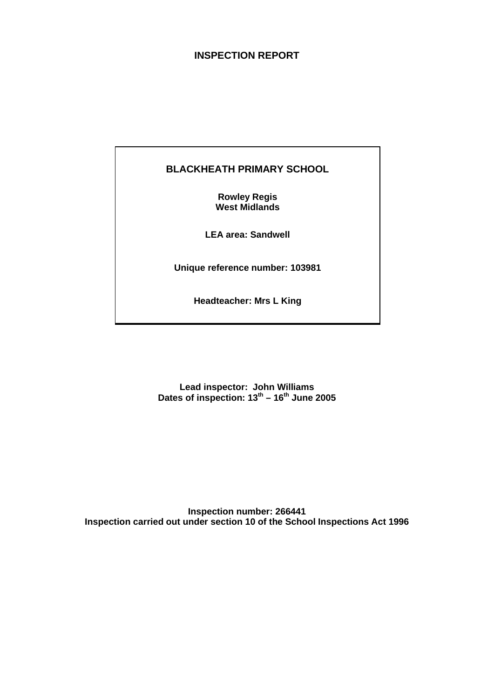## **INSPECTION REPORT**

## **BLACKHEATH PRIMARY SCHOOL**

**Rowley Regis West Midlands**

**LEA area: Sandwell**

**Unique reference number: 103981**

**Headteacher: Mrs L King**

**Lead inspector: John Williams Dates of inspection: 13th – 16th June 2005**

**Inspection number: 266441 Inspection carried out under section 10 of the School Inspections Act 1996**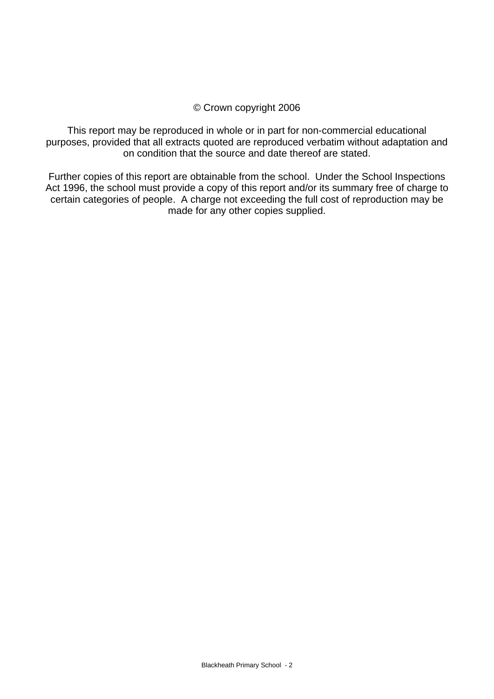## © Crown copyright 2006

This report may be reproduced in whole or in part for non-commercial educational purposes, provided that all extracts quoted are reproduced verbatim without adaptation and on condition that the source and date thereof are stated.

Further copies of this report are obtainable from the school. Under the School Inspections Act 1996, the school must provide a copy of this report and/or its summary free of charge to certain categories of people. A charge not exceeding the full cost of reproduction may be made for any other copies supplied.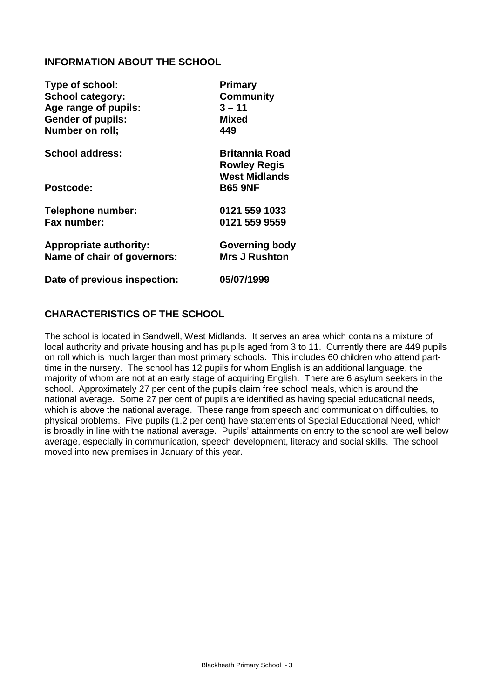## **INFORMATION ABOUT THE SCHOOL**

| Type of school:               | Primary                                      |
|-------------------------------|----------------------------------------------|
| <b>School category:</b>       | <b>Community</b>                             |
| Age range of pupils:          | $3 - 11$                                     |
| <b>Gender of pupils:</b>      | <b>Mixed</b>                                 |
| Number on roll;               | 449                                          |
| <b>School address:</b>        | <b>Britannia Road</b><br><b>Rowley Regis</b> |
|                               | <b>West Midlands</b>                         |
| Postcode:                     | <b>B65 9NF</b>                               |
| Telephone number:             | 0121 559 1033                                |
| Fax number:                   | 0121 559 9559                                |
| <b>Appropriate authority:</b> | <b>Governing body</b>                        |
| Name of chair of governors:   | <b>Mrs J Rushton</b>                         |
| Date of previous inspection:  | 05/07/1999                                   |

## **CHARACTERISTICS OF THE SCHOOL**

The school is located in Sandwell, West Midlands. It serves an area which contains a mixture of local authority and private housing and has pupils aged from 3 to 11. Currently there are 449 pupils on roll which is much larger than most primary schools. This includes 60 children who attend parttime in the nursery. The school has 12 pupils for whom English is an additional language, the majority of whom are not at an early stage of acquiring English. There are 6 asylum seekers in the school. Approximately 27 per cent of the pupils claim free school meals, which is around the national average. Some 27 per cent of pupils are identified as having special educational needs, which is above the national average. These range from speech and communication difficulties, to physical problems. Five pupils (1.2 per cent) have statements of Special Educational Need, which is broadly in line with the national average. Pupils' attainments on entry to the school are well below average, especially in communication, speech development, literacy and social skills. The school moved into new premises in January of this year.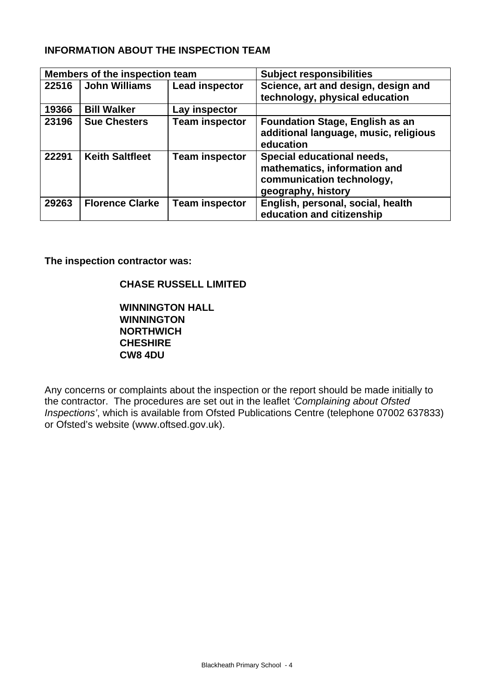## **INFORMATION ABOUT THE INSPECTION TEAM**

|       | Members of the inspection team |                       | <b>Subject responsibilities</b>                                                                               |
|-------|--------------------------------|-----------------------|---------------------------------------------------------------------------------------------------------------|
| 22516 | <b>John Williams</b>           | <b>Lead inspector</b> | Science, art and design, design and<br>technology, physical education                                         |
| 19366 | <b>Bill Walker</b>             | Lay inspector         |                                                                                                               |
| 23196 | <b>Sue Chesters</b>            | <b>Team inspector</b> | <b>Foundation Stage, English as an</b><br>additional language, music, religious<br>education                  |
| 22291 | <b>Keith Saltfleet</b>         | <b>Team inspector</b> | Special educational needs,<br>mathematics, information and<br>communication technology,<br>geography, history |
| 29263 | <b>Florence Clarke</b>         | <b>Team inspector</b> | English, personal, social, health<br>education and citizenship                                                |

**The inspection contractor was:**

## **CHASE RUSSELL LIMITED**

**WINNINGTON HALL WINNINGTON NORTHWICH CHESHIRE CW8 4DU**

Any concerns or complaints about the inspection or the report should be made initially to the contractor. The procedures are set out in the leaflet *'Complaining about Ofsted Inspections'*, which is available from Ofsted Publications Centre (telephone 07002 637833) or Ofsted's website (www.oftsed.gov.uk).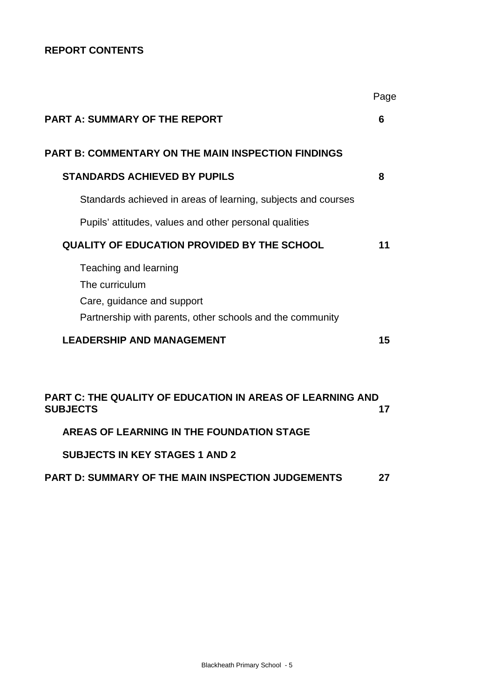## **REPORT CONTENTS**

|                                                                                                                                    | Page |
|------------------------------------------------------------------------------------------------------------------------------------|------|
| <b>PART A: SUMMARY OF THE REPORT</b>                                                                                               | 6    |
| <b>PART B: COMMENTARY ON THE MAIN INSPECTION FINDINGS</b>                                                                          |      |
| <b>STANDARDS ACHIEVED BY PUPILS</b>                                                                                                | 8    |
| Standards achieved in areas of learning, subjects and courses                                                                      |      |
| Pupils' attitudes, values and other personal qualities                                                                             |      |
| <b>QUALITY OF EDUCATION PROVIDED BY THE SCHOOL</b>                                                                                 | 11   |
| Teaching and learning<br>The curriculum<br>Care, guidance and support<br>Partnership with parents, other schools and the community |      |
| <b>LEADERSHIP AND MANAGEMENT</b>                                                                                                   | 15   |
|                                                                                                                                    |      |
| <b>PART C: THE QUALITY OF EDUCATION IN AREAS OF LEARNING AND</b><br><b>SUBJECTS</b>                                                | 17   |
| AREAS OF LEARNING IN THE FOUNDATION STAGE                                                                                          |      |
| <b>SUBJECTS IN KEY STAGES 1 AND 2</b>                                                                                              |      |
| <b>PART D: SUMMARY OF THE MAIN INSPECTION JUDGEMENTS</b>                                                                           | 27   |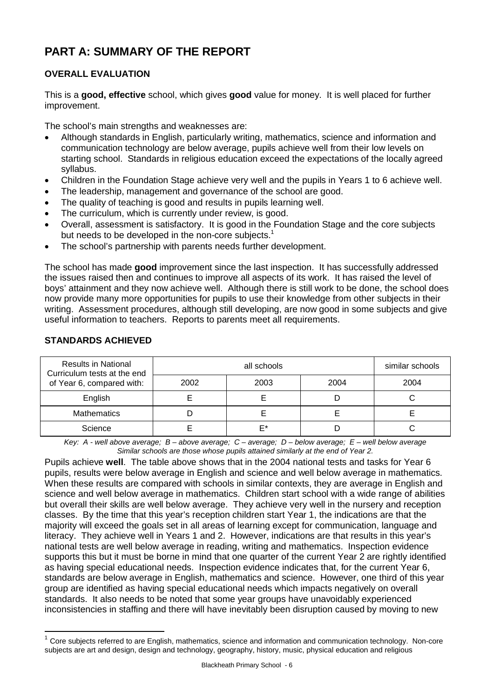# **PART A: SUMMARY OF THE REPORT**

## **OVERALL EVALUATION**

This is a **good, effective** school, which gives **good** value for money. It is well placed for further improvement.

The school's main strengths and weaknesses are:

- Although standards in English, particularly writing, mathematics, science and information and communication technology are below average, pupils achieve well from their low levels on starting school. Standards in religious education exceed the expectations of the locally agreed syllabus.
- Children in the Foundation Stage achieve very well and the pupils in Years 1 to 6 achieve well.
- The leadership, management and governance of the school are good.
- The quality of teaching is good and results in pupils learning well.
- The curriculum, which is currently under review, is good.
- Overall, assessment is satisfactory. It is good in the Foundation Stage and the core subjects but needs to be developed in the non-core subjects.<sup>1</sup>
- The school's partnership with parents needs further development.

The school has made **good** improvement since the last inspection. It has successfully addressed the issues raised then and continues to improve all aspects of its work. It has raised the level of boys' attainment and they now achieve well. Although there is still work to be done, the school does now provide many more opportunities for pupils to use their knowledge from other subjects in their writing. Assessment procedures, although still developing, are now good in some subjects and give useful information to teachers. Reports to parents meet all requirements.

| <b>Results in National</b><br>Curriculum tests at the end |      | similar schools |      |      |
|-----------------------------------------------------------|------|-----------------|------|------|
| of Year 6, compared with:                                 | 2002 | 2003            | 2004 | 2004 |
| English                                                   |      |                 |      |      |
| <b>Mathematics</b>                                        |      |                 |      |      |
| Science                                                   |      | F*              |      |      |

## **STANDARDS ACHIEVED**

 $\overline{a}$ 

*Key: A - well above average; B – above average; C – average; D – below average; E – well below average Similar schools are those whose pupils attained similarly at the end of Year 2.*

Pupils achieve **well**. The table above shows that in the 2004 national tests and tasks for Year 6 pupils, results were below average in English and science and well below average in mathematics. When these results are compared with schools in similar contexts, they are average in English and science and well below average in mathematics. Children start school with a wide range of abilities but overall their skills are well below average. They achieve very well in the nursery and reception classes. By the time that this year's reception children start Year 1, the indications are that the majority will exceed the goals set in all areas of learning except for communication, language and literacy. They achieve well in Years 1 and 2. However, indications are that results in this year's national tests are well below average in reading, writing and mathematics. Inspection evidence supports this but it must be borne in mind that one quarter of the current Year 2 are rightly identified as having special educational needs. Inspection evidence indicates that, for the current Year 6, standards are below average in English, mathematics and science. However, one third of this year group are identified as having special educational needs which impacts negatively on overall standards. It also needs to be noted that some year groups have unavoidably experienced inconsistencies in staffing and there will have inevitably been disruption caused by moving to new

 $1$  Core subjects referred to are English, mathematics, science and information and communication technology. Non-core subjects are art and design, design and technology, geography, history, music, physical education and religious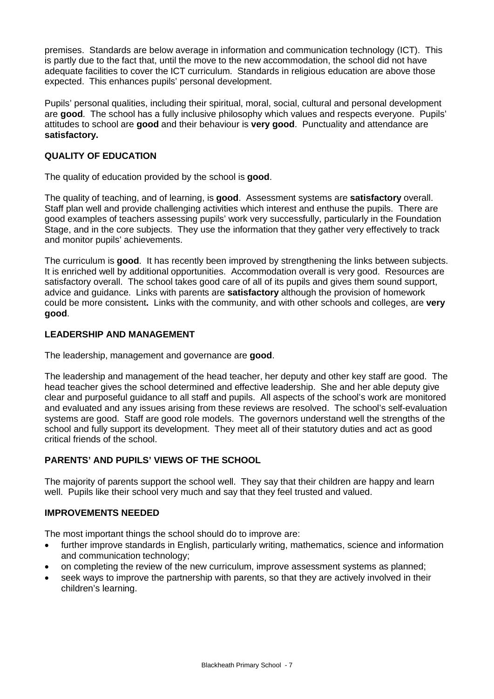premises. Standards are below average in information and communication technology (ICT). This is partly due to the fact that, until the move to the new accommodation, the school did not have adequate facilities to cover the ICT curriculum. Standards in religious education are above those expected. This enhances pupils' personal development.

Pupils' personal qualities, including their spiritual, moral, social, cultural and personal development are **good**. The school has a fully inclusive philosophy which values and respects everyone. Pupils' attitudes to school are **good** and their behaviour is **very good**. Punctuality and attendance are **satisfactory.** 

## **QUALITY OF EDUCATION**

The quality of education provided by the school is **good**.

The quality of teaching, and of learning, is **good**. Assessment systems are **satisfactory** overall. Staff plan well and provide challenging activities which interest and enthuse the pupils. There are good examples of teachers assessing pupils' work very successfully, particularly in the Foundation Stage, and in the core subjects. They use the information that they gather very effectively to track and monitor pupils' achievements.

The curriculum is **good**. It has recently been improved by strengthening the links between subjects. It is enriched well by additional opportunities. Accommodation overall is very good. Resources are satisfactory overall. The school takes good care of all of its pupils and gives them sound support, advice and guidance. Links with parents are **satisfactory** although the provision of homework could be more consistent**.** Links with the community, and with other schools and colleges, are **very good**.

## **LEADERSHIP AND MANAGEMENT**

The leadership, management and governance are **good**.

The leadership and management of the head teacher, her deputy and other key staff are good. The head teacher gives the school determined and effective leadership. She and her able deputy give clear and purposeful guidance to all staff and pupils. All aspects of the school's work are monitored and evaluated and any issues arising from these reviews are resolved. The school's self-evaluation systems are good. Staff are good role models. The governors understand well the strengths of the school and fully support its development. They meet all of their statutory duties and act as good critical friends of the school.

## **PARENTS' AND PUPILS' VIEWS OF THE SCHOOL**

The majority of parents support the school well. They say that their children are happy and learn well. Pupils like their school very much and say that they feel trusted and valued.

## **IMPROVEMENTS NEEDED**

The most important things the school should do to improve are:

- further improve standards in English, particularly writing, mathematics, science and information and communication technology;
- on completing the review of the new curriculum, improve assessment systems as planned;
- seek ways to improve the partnership with parents, so that they are actively involved in their children's learning.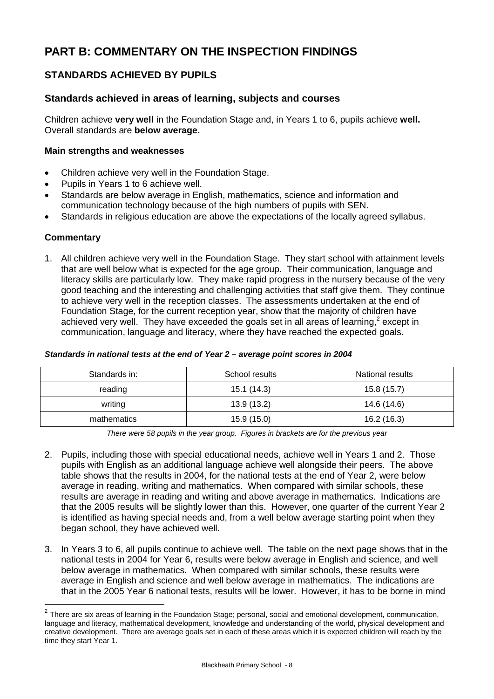# **PART B: COMMENTARY ON THE INSPECTION FINDINGS**

## **STANDARDS ACHIEVED BY PUPILS**

## **Standards achieved in areas of learning, subjects and courses**

Children achieve **very well** in the Foundation Stage and, in Years 1 to 6, pupils achieve **well.**  Overall standards are **below average.** 

#### **Main strengths and weaknesses**

- Children achieve very well in the Foundation Stage.
- Pupils in Years 1 to 6 achieve well.
- Standards are below average in English, mathematics, science and information and communication technology because of the high numbers of pupils with SEN.
- Standards in religious education are above the expectations of the locally agreed syllabus.

#### **Commentary**

 $\overline{a}$ 

1. All children achieve very well in the Foundation Stage. They start school with attainment levels that are well below what is expected for the age group. Their communication, language and literacy skills are particularly low. They make rapid progress in the nursery because of the very good teaching and the interesting and challenging activities that staff give them. They continue to achieve very well in the reception classes. The assessments undertaken at the end of Foundation Stage, for the current reception year, show that the majority of children have achieved very well. They have exceeded the goals set in all areas of learning,<sup>2</sup> except in communication, language and literacy, where they have reached the expected goals.

#### *Standards in national tests at the end of Year 2 – average point scores in 2004*

| Standards in: | School results | National results |
|---------------|----------------|------------------|
| reading       | 15.1(14.3)     | 15.8(15.7)       |
| writing       | 13.9(13.2)     | 14.6 (14.6)      |
| mathematics   | 15.9(15.0)     | 16.2(16.3)       |

*There were 58 pupils in the year group. Figures in brackets are for the previous year* 

- 2. Pupils, including those with special educational needs, achieve well in Years 1 and 2. Those pupils with English as an additional language achieve well alongside their peers. The above table shows that the results in 2004, for the national tests at the end of Year 2, were below average in reading, writing and mathematics. When compared with similar schools, these results are average in reading and writing and above average in mathematics. Indications are that the 2005 results will be slightly lower than this. However, one quarter of the current Year 2 is identified as having special needs and, from a well below average starting point when they began school, they have achieved well.
- 3. In Years 3 to 6, all pupils continue to achieve well. The table on the next page shows that in the national tests in 2004 for Year 6, results were below average in English and science, and well below average in mathematics. When compared with similar schools, these results were average in English and science and well below average in mathematics. The indications are that in the 2005 Year 6 national tests, results will be lower. However, it has to be borne in mind

 $2$  There are six areas of learning in the Foundation Stage; personal, social and emotional development, communication, language and literacy, mathematical development, knowledge and understanding of the world, physical development and creative development. There are average goals set in each of these areas which it is expected children will reach by the time they start Year 1.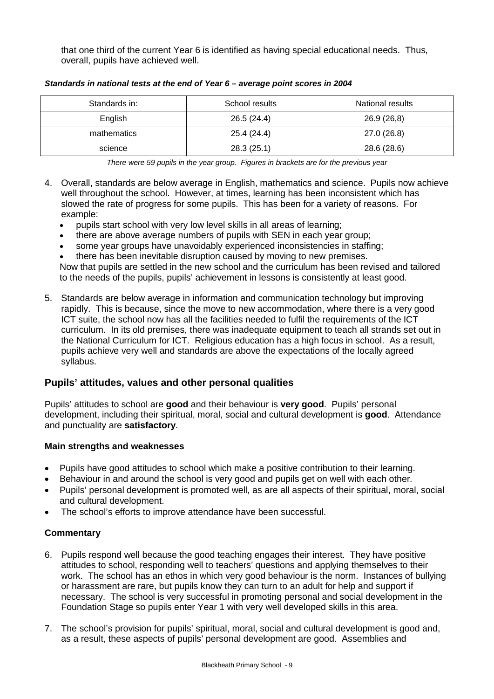that one third of the current Year 6 is identified as having special educational needs. Thus, overall, pupils have achieved well.

| Standards in: | School results | National results |
|---------------|----------------|------------------|
| English       | 26.5(24.4)     | 26.9(26,8)       |
| mathematics   | 25.4 (24.4)    | 27.0 (26.8)      |
| science       | 28.3(25.1)     | 28.6 (28.6)      |

*Standards in national tests at the end of Year 6 – average point scores in 2004*

*There were 59 pupils in the year group. Figures in brackets are for the previous year*

- 4. Overall, standards are below average in English, mathematics and science. Pupils now achieve well throughout the school. However, at times, learning has been inconsistent which has slowed the rate of progress for some pupils. This has been for a variety of reasons. For example:
	- pupils start school with very low level skills in all areas of learning;
	- there are above average numbers of pupils with SEN in each year group;
	- some year groups have unavoidably experienced inconsistencies in staffing;
	- there has been inevitable disruption caused by moving to new premises.

Now that pupils are settled in the new school and the curriculum has been revised and tailored to the needs of the pupils, pupils' achievement in lessons is consistently at least good.

5. Standards are below average in information and communication technology but improving rapidly. This is because, since the move to new accommodation, where there is a very good ICT suite, the school now has all the facilities needed to fulfil the requirements of the ICT curriculum. In its old premises, there was inadequate equipment to teach all strands set out in the National Curriculum for ICT. Religious education has a high focus in school. As a result, pupils achieve very well and standards are above the expectations of the locally agreed syllabus.

## **Pupils' attitudes, values and other personal qualities**

Pupils' attitudes to school are **good** and their behaviour is **very good**. Pupils' personal development, including their spiritual, moral, social and cultural development is **good**. Attendance and punctuality are **satisfactory**.

## **Main strengths and weaknesses**

- Pupils have good attitudes to school which make a positive contribution to their learning.
- Behaviour in and around the school is very good and pupils get on well with each other.
- Pupils' personal development is promoted well, as are all aspects of their spiritual, moral, social and cultural development.
- The school's efforts to improve attendance have been successful.

- 6. Pupils respond well because the good teaching engages their interest. They have positive attitudes to school, responding well to teachers' questions and applying themselves to their work. The school has an ethos in which very good behaviour is the norm. Instances of bullying or harassment are rare, but pupils know they can turn to an adult for help and support if necessary. The school is very successful in promoting personal and social development in the Foundation Stage so pupils enter Year 1 with very well developed skills in this area.
- 7. The school's provision for pupils' spiritual, moral, social and cultural development is good and, as a result, these aspects of pupils' personal development are good. Assemblies and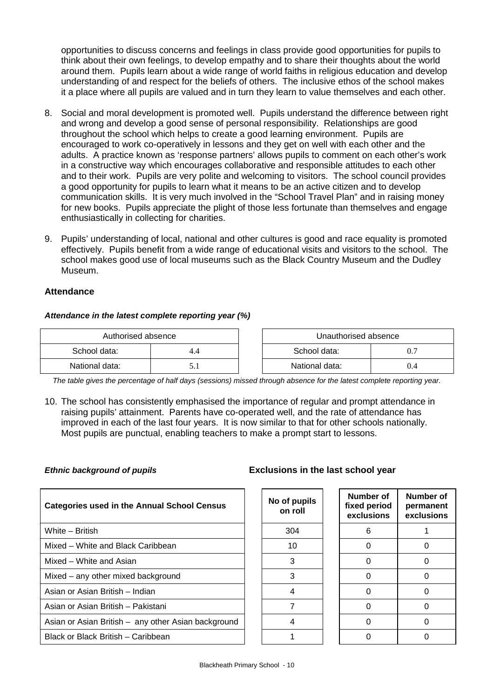opportunities to discuss concerns and feelings in class provide good opportunities for pupils to think about their own feelings, to develop empathy and to share their thoughts about the world around them. Pupils learn about a wide range of world faiths in religious education and develop understanding of and respect for the beliefs of others. The inclusive ethos of the school makes it a place where all pupils are valued and in turn they learn to value themselves and each other.

- 8. Social and moral development is promoted well. Pupils understand the difference between right and wrong and develop a good sense of personal responsibility. Relationships are good throughout the school which helps to create a good learning environment. Pupils are encouraged to work co-operatively in lessons and they get on well with each other and the adults. A practice known as 'response partners' allows pupils to comment on each other's work in a constructive way which encourages collaborative and responsible attitudes to each other and to their work. Pupils are very polite and welcoming to visitors. The school council provides a good opportunity for pupils to learn what it means to be an active citizen and to develop communication skills. It is very much involved in the "School Travel Plan" and in raising money for new books. Pupils appreciate the plight of those less fortunate than themselves and engage enthusiastically in collecting for charities.
- 9. Pupils' understanding of local, national and other cultures is good and race equality is promoted effectively. Pupils benefit from a wide range of educational visits and visitors to the school. The school makes good use of local museums such as the Black Country Museum and the Dudley Museum.

#### **Attendance**

#### *Attendance in the latest complete reporting year (%)*

| Authorised absence |       | Unauthorised absence |     |
|--------------------|-------|----------------------|-----|
| School data:       |       | School data:         |     |
| National data:     | J . 1 | National data:       | 0.4 |

*The table gives the percentage of half days (sessions) missed through absence for the latest complete reporting year.*

10. The school has consistently emphasised the importance of regular and prompt attendance in raising pupils' attainment. Parents have co-operated well, and the rate of attendance has improved in each of the last four years. It is now similar to that for other schools nationally. Most pupils are punctual, enabling teachers to make a prompt start to lessons.

| <b>Categories used in the Annual School Census</b>  |  | No of pupils<br>on roll | Number of<br>fixed period<br>exclusions | <b>Numb</b><br>perma<br>exclus |
|-----------------------------------------------------|--|-------------------------|-----------------------------------------|--------------------------------|
| White - British                                     |  | 304                     | 6                                       |                                |
| Mixed – White and Black Caribbean                   |  | 10                      |                                         | O                              |
| Mixed - White and Asian                             |  | 3                       |                                         | O                              |
| Mixed – any other mixed background                  |  | 3                       | O                                       | O                              |
| Asian or Asian British - Indian                     |  | 4                       |                                         | 0                              |
| Asian or Asian British - Pakistani                  |  | 7                       |                                         | O                              |
| Asian or Asian British - any other Asian background |  | 4                       | 0                                       | O                              |
| Black or Black British - Caribbean                  |  |                         |                                         |                                |
|                                                     |  |                         |                                         |                                |

## *Ethnic background of pupils* **Exclusions in the last school year**

| of pupils<br>on roll | Number of<br>fixed period<br>exclusions | Number of<br>permanent<br>exclusions |
|----------------------|-----------------------------------------|--------------------------------------|
| 304                  | 6                                       |                                      |
| 10                   | ሰ                                       |                                      |
| 3                    | n                                       |                                      |
| 3                    | ი                                       |                                      |
| 4                    | ሰ                                       |                                      |
| 7                    | ∩                                       |                                      |
| 4                    |                                         |                                      |
|                      |                                         |                                      |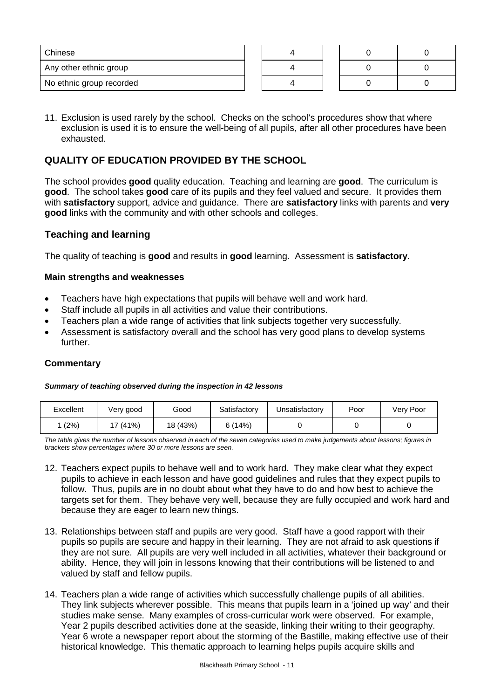| Chinese                  |  |  |  |
|--------------------------|--|--|--|
| Any other ethnic group   |  |  |  |
| No ethnic group recorded |  |  |  |

11. Exclusion is used rarely by the school. Checks on the school's procedures show that where exclusion is used it is to ensure the well-being of all pupils, after all other procedures have been exhausted.

## **QUALITY OF EDUCATION PROVIDED BY THE SCHOOL**

The school provides **good** quality education. Teaching and learning are **good**. The curriculum is **good**.The school takes **good** care of its pupils and they feel valued and secure. It provides them with **satisfactory** support, advice and guidance. There are **satisfactory** links with parents and **very good** links with the community and with other schools and colleges.

## **Teaching and learning**

The quality of teaching is **good** and results in **good** learning. Assessment is **satisfactory**.

#### **Main strengths and weaknesses**

- Teachers have high expectations that pupils will behave well and work hard.
- Staff include all pupils in all activities and value their contributions.
- Teachers plan a wide range of activities that link subjects together very successfully.
- Assessment is satisfactory overall and the school has very good plans to develop systems further.

## **Commentary**

#### *Summary of teaching observed during the inspection in 42 lessons*

| Excellent | Very good | Good     | Satisfactory | Unsatisfactory | Poor | Very Poor |
|-----------|-----------|----------|--------------|----------------|------|-----------|
| (2%)      | 17 (41%)  | 18 (43%) | 6(14%)       |                |      |           |

*The table gives the number of lessons observed in each of the seven categories used to make judgements about lessons; figures in brackets show percentages where 30 or more lessons are seen.*

- 12. Teachers expect pupils to behave well and to work hard. They make clear what they expect pupils to achieve in each lesson and have good guidelines and rules that they expect pupils to follow. Thus, pupils are in no doubt about what they have to do and how best to achieve the targets set for them. They behave very well, because they are fully occupied and work hard and because they are eager to learn new things.
- 13. Relationships between staff and pupils are very good. Staff have a good rapport with their pupils so pupils are secure and happy in their learning. They are not afraid to ask questions if they are not sure. All pupils are very well included in all activities, whatever their background or ability. Hence, they will join in lessons knowing that their contributions will be listened to and valued by staff and fellow pupils.
- 14. Teachers plan a wide range of activities which successfully challenge pupils of all abilities. They link subjects wherever possible. This means that pupils learn in a 'joined up way' and their studies make sense. Many examples of cross-curricular work were observed. For example, Year 2 pupils described activities done at the seaside, linking their writing to their geography. Year 6 wrote a newspaper report about the storming of the Bastille, making effective use of their historical knowledge. This thematic approach to learning helps pupils acquire skills and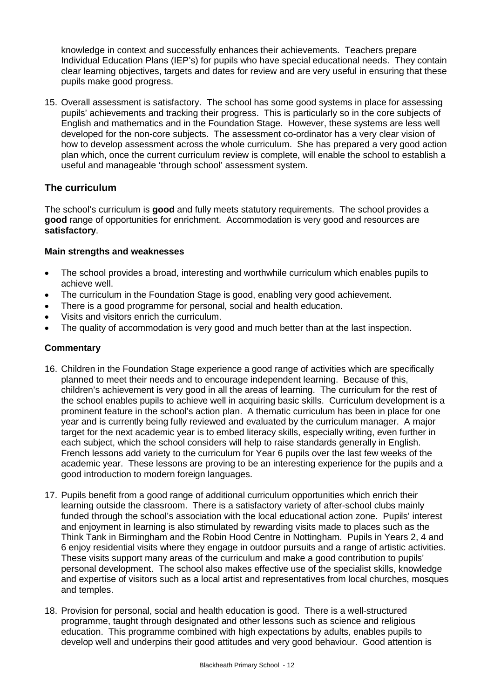knowledge in context and successfully enhances their achievements. Teachers prepare Individual Education Plans (IEP's) for pupils who have special educational needs. They contain clear learning objectives, targets and dates for review and are very useful in ensuring that these pupils make good progress.

15. Overall assessment is satisfactory. The school has some good systems in place for assessing pupils' achievements and tracking their progress. This is particularly so in the core subjects of English and mathematics and in the Foundation Stage. However, these systems are less well developed for the non-core subjects. The assessment co-ordinator has a very clear vision of how to develop assessment across the whole curriculum. She has prepared a very good action plan which, once the current curriculum review is complete, will enable the school to establish a useful and manageable 'through school' assessment system.

## **The curriculum**

The school's curriculum is **good** and fully meets statutory requirements. The school provides a **good** range of opportunities for enrichment. Accommodation is very good and resources are **satisfactory**.

## **Main strengths and weaknesses**

- The school provides a broad, interesting and worthwhile curriculum which enables pupils to achieve well.
- The curriculum in the Foundation Stage is good, enabling very good achievement.
- There is a good programme for personal, social and health education.
- Visits and visitors enrich the curriculum.
- The quality of accommodation is very good and much better than at the last inspection.

- 16. Children in the Foundation Stage experience a good range of activities which are specifically planned to meet their needs and to encourage independent learning. Because of this, children's achievement is very good in all the areas of learning. The curriculum for the rest of the school enables pupils to achieve well in acquiring basic skills. Curriculum development is a prominent feature in the school's action plan. A thematic curriculum has been in place for one year and is currently being fully reviewed and evaluated by the curriculum manager. A major target for the next academic year is to embed literacy skills, especially writing, even further in each subject, which the school considers will help to raise standards generally in English. French lessons add variety to the curriculum for Year 6 pupils over the last few weeks of the academic year. These lessons are proving to be an interesting experience for the pupils and a good introduction to modern foreign languages.
- 17. Pupils benefit from a good range of additional curriculum opportunities which enrich their learning outside the classroom. There is a satisfactory variety of after-school clubs mainly funded through the school's association with the local educational action zone. Pupils' interest and enjoyment in learning is also stimulated by rewarding visits made to places such as the Think Tank in Birmingham and the Robin Hood Centre in Nottingham. Pupils in Years 2, 4 and 6 enjoy residential visits where they engage in outdoor pursuits and a range of artistic activities. These visits support many areas of the curriculum and make a good contribution to pupils' personal development. The school also makes effective use of the specialist skills, knowledge and expertise of visitors such as a local artist and representatives from local churches, mosques and temples.
- 18. Provision for personal, social and health education is good. There is a well-structured programme, taught through designated and other lessons such as science and religious education. This programme combined with high expectations by adults, enables pupils to develop well and underpins their good attitudes and very good behaviour. Good attention is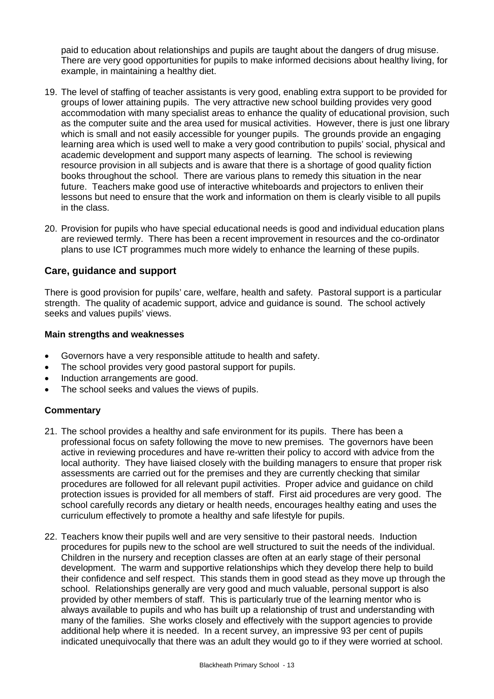paid to education about relationships and pupils are taught about the dangers of drug misuse. There are very good opportunities for pupils to make informed decisions about healthy living, for example, in maintaining a healthy diet.

- 19. The level of staffing of teacher assistants is very good, enabling extra support to be provided for groups of lower attaining pupils. The very attractive new school building provides very good accommodation with many specialist areas to enhance the quality of educational provision, such as the computer suite and the area used for musical activities. However, there is just one library which is small and not easily accessible for younger pupils. The grounds provide an engaging learning area which is used well to make a very good contribution to pupils' social, physical and academic development and support many aspects of learning. The school is reviewing resource provision in all subjects and is aware that there is a shortage of good quality fiction books throughout the school. There are various plans to remedy this situation in the near future. Teachers make good use of interactive whiteboards and projectors to enliven their lessons but need to ensure that the work and information on them is clearly visible to all pupils in the class.
- 20. Provision for pupils who have special educational needs is good and individual education plans are reviewed termly. There has been a recent improvement in resources and the co-ordinator plans to use ICT programmes much more widely to enhance the learning of these pupils.

## **Care, guidance and support**

There is good provision for pupils' care, welfare, health and safety. Pastoral support is a particular strength. The quality of academic support, advice and guidance is sound. The school actively seeks and values pupils' views.

#### **Main strengths and weaknesses**

- Governors have a very responsible attitude to health and safety.
- The school provides very good pastoral support for pupils.
- Induction arrangements are good.
- The school seeks and values the views of pupils.

- 21. The school provides a healthy and safe environment for its pupils. There has been a professional focus on safety following the move to new premises. The governors have been active in reviewing procedures and have re-written their policy to accord with advice from the local authority. They have liaised closely with the building managers to ensure that proper risk assessments are carried out for the premises and they are currently checking that similar procedures are followed for all relevant pupil activities. Proper advice and guidance on child protection issues is provided for all members of staff. First aid procedures are very good. The school carefully records any dietary or health needs, encourages healthy eating and uses the curriculum effectively to promote a healthy and safe lifestyle for pupils.
- 22. Teachers know their pupils well and are very sensitive to their pastoral needs. Induction procedures for pupils new to the school are well structured to suit the needs of the individual. Children in the nursery and reception classes are often at an early stage of their personal development. The warm and supportive relationships which they develop there help to build their confidence and self respect. This stands them in good stead as they move up through the school. Relationships generally are very good and much valuable, personal support is also provided by other members of staff. This is particularly true of the learning mentor who is always available to pupils and who has built up a relationship of trust and understanding with many of the families. She works closely and effectively with the support agencies to provide additional help where it is needed. In a recent survey, an impressive 93 per cent of pupils indicated unequivocally that there was an adult they would go to if they were worried at school.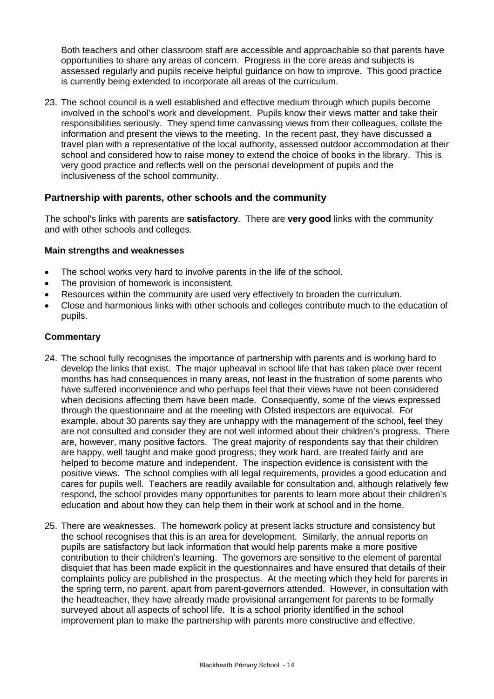Both teachers and other classroom staff are accessible and approachable so that parents have opportunities to share any areas of concern. Progress in the core areas and subjects is assessed regularly and pupils receive helpful guidance on how to improve. This good practice is currently being extended to incorporate all areas of the curriculum.

23. The school council is a well established and effective medium through which pupils become involved in the school's work and development. Pupils know their views matter and take their responsibilities seriously. They spend time canvassing views from their colleagues, collate the information and present the views to the meeting. In the recent past, they have discussed a travel plan with a representative of the local authority, assessed outdoor accommodation at their school and considered how to raise money to extend the choice of books in the library. This is very good practice and reflects well on the personal development of pupils and the inclusiveness of the school community.

## **Partnership with parents, other schools and the community**

The school's links with parents are **satisfactory**. There are **very good** links with the community and with other schools and colleges.

#### **Main strengths and weaknesses**

- The school works very hard to involve parents in the life of the school.
- The provision of homework is inconsistent.
- Resources within the community are used very effectively to broaden the curriculum.
- Close and harmonious links with other schools and colleges contribute much to the education of pupils.

- 24. The school fully recognises the importance of partnership with parents and is working hard to develop the links that exist. The major upheaval in school life that has taken place over recent months has had consequences in many areas, not least in the frustration of some parents who have suffered inconvenience and who perhaps feel that their views have not been considered when decisions affecting them have been made. Consequently, some of the views expressed through the questionnaire and at the meeting with Ofsted inspectors are equivocal. For example, about 30 parents say they are unhappy with the management of the school, feel they are not consulted and consider they are not well informed about their children's progress. There are, however, many positive factors. The great majority of respondents say that their children are happy, well taught and make good progress; they work hard, are treated fairly and are helped to become mature and independent. The inspection evidence is consistent with the positive views. The school complies with all legal requirements, provides a good education and cares for pupils well. Teachers are readily available for consultation and, although relatively few respond, the school provides many opportunities for parents to learn more about their children's education and about how they can help them in their work at school and in the home.
- 25. There are weaknesses. The homework policy at present lacks structure and consistency but the school recognises that this is an area for development. Similarly, the annual reports on pupils are satisfactory but lack information that would help parents make a more positive contribution to their children's learning. The governors are sensitive to the element of parental disquiet that has been made explicit in the questionnaires and have ensured that details of their complaints policy are published in the prospectus. At the meeting which they held for parents in the spring term, no parent, apart from parent-governors attended. However, in consultation with the headteacher, they have already made provisional arrangement for parents to be formally surveyed about all aspects of school life. It is a school priority identified in the school improvement plan to make the partnership with parents more constructive and effective.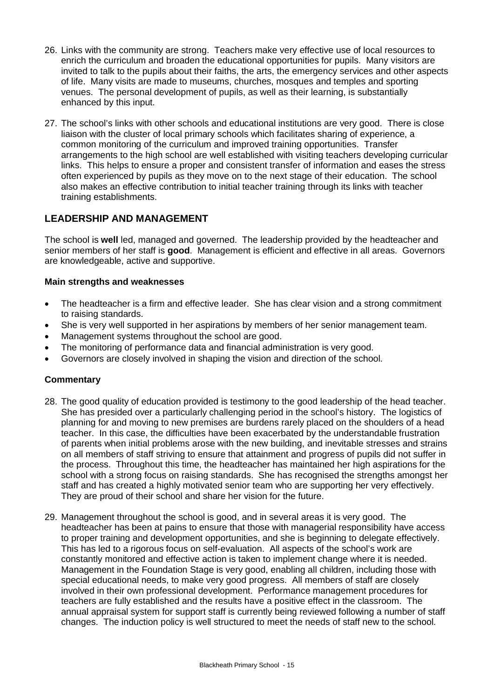- 26. Links with the community are strong. Teachers make very effective use of local resources to enrich the curriculum and broaden the educational opportunities for pupils. Many visitors are invited to talk to the pupils about their faiths, the arts, the emergency services and other aspects of life. Many visits are made to museums, churches, mosques and temples and sporting venues. The personal development of pupils, as well as their learning, is substantially enhanced by this input.
- 27. The school's links with other schools and educational institutions are very good. There is close liaison with the cluster of local primary schools which facilitates sharing of experience, a common monitoring of the curriculum and improved training opportunities. Transfer arrangements to the high school are well established with visiting teachers developing curricular links. This helps to ensure a proper and consistent transfer of information and eases the stress often experienced by pupils as they move on to the next stage of their education. The school also makes an effective contribution to initial teacher training through its links with teacher training establishments.

## **LEADERSHIP AND MANAGEMENT**

The school is **well** led, managed and governed. The leadership provided by the headteacher and senior members of her staff is **good**. Management is efficient and effective in all areas. Governors are knowledgeable, active and supportive.

## **Main strengths and weaknesses**

- The headteacher is a firm and effective leader. She has clear vision and a strong commitment to raising standards.
- She is very well supported in her aspirations by members of her senior management team.
- Management systems throughout the school are good.
- The monitoring of performance data and financial administration is very good.
- Governors are closely involved in shaping the vision and direction of the school.

- 28. The good quality of education provided is testimony to the good leadership of the head teacher. She has presided over a particularly challenging period in the school's history. The logistics of planning for and moving to new premises are burdens rarely placed on the shoulders of a head teacher. In this case, the difficulties have been exacerbated by the understandable frustration of parents when initial problems arose with the new building, and inevitable stresses and strains on all members of staff striving to ensure that attainment and progress of pupils did not suffer in the process. Throughout this time, the headteacher has maintained her high aspirations for the school with a strong focus on raising standards. She has recognised the strengths amongst her staff and has created a highly motivated senior team who are supporting her very effectively. They are proud of their school and share her vision for the future.
- 29. Management throughout the school is good, and in several areas it is very good. The headteacher has been at pains to ensure that those with managerial responsibility have access to proper training and development opportunities, and she is beginning to delegate effectively. This has led to a rigorous focus on self-evaluation. All aspects of the school's work are constantly monitored and effective action is taken to implement change where it is needed. Management in the Foundation Stage is very good, enabling all children, including those with special educational needs, to make very good progress. All members of staff are closely involved in their own professional development. Performance management procedures for teachers are fully established and the results have a positive effect in the classroom. The annual appraisal system for support staff is currently being reviewed following a number of staff changes. The induction policy is well structured to meet the needs of staff new to the school.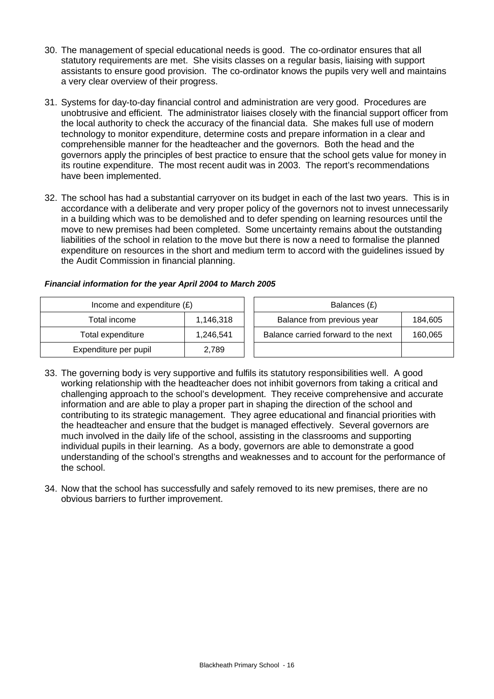- 30. The management of special educational needs is good. The co-ordinator ensures that all statutory requirements are met. She visits classes on a regular basis, liaising with support assistants to ensure good provision. The co-ordinator knows the pupils very well and maintains a very clear overview of their progress.
- 31. Systems for day-to-day financial control and administration are very good. Procedures are unobtrusive and efficient. The administrator liaises closely with the financial support officer from the local authority to check the accuracy of the financial data. She makes full use of modern technology to monitor expenditure, determine costs and prepare information in a clear and comprehensible manner for the headteacher and the governors. Both the head and the governors apply the principles of best practice to ensure that the school gets value for money in its routine expenditure. The most recent audit was in 2003. The report's recommendations have been implemented.
- 32. The school has had a substantial carryover on its budget in each of the last two years. This is in accordance with a deliberate and very proper policy of the governors not to invest unnecessarily in a building which was to be demolished and to defer spending on learning resources until the move to new premises had been completed. Some uncertainty remains about the outstanding liabilities of the school in relation to the move but there is now a need to formalise the planned expenditure on resources in the short and medium term to accord with the guidelines issued by the Audit Commission in financial planning.

## *Financial information for the year April 2004 to March 2005*

| Income and expenditure $(E)$ |           | Balances (£)                                   |  |
|------------------------------|-----------|------------------------------------------------|--|
| Total income                 | 1.146.318 | Balance from previous year<br>184.605          |  |
| Total expenditure            | 1.246.541 | Balance carried forward to the next<br>160,065 |  |
| Expenditure per pupil        | 2,789     |                                                |  |

- 33. The governing body is very supportive and fulfils its statutory responsibilities well. A good working relationship with the headteacher does not inhibit governors from taking a critical and challenging approach to the school's development. They receive comprehensive and accurate information and are able to play a proper part in shaping the direction of the school and contributing to its strategic management. They agree educational and financial priorities with the headteacher and ensure that the budget is managed effectively. Several governors are much involved in the daily life of the school, assisting in the classrooms and supporting individual pupils in their learning. As a body, governors are able to demonstrate a good understanding of the school's strengths and weaknesses and to account for the performance of the school.
- 34. Now that the school has successfully and safely removed to its new premises, there are no obvious barriers to further improvement.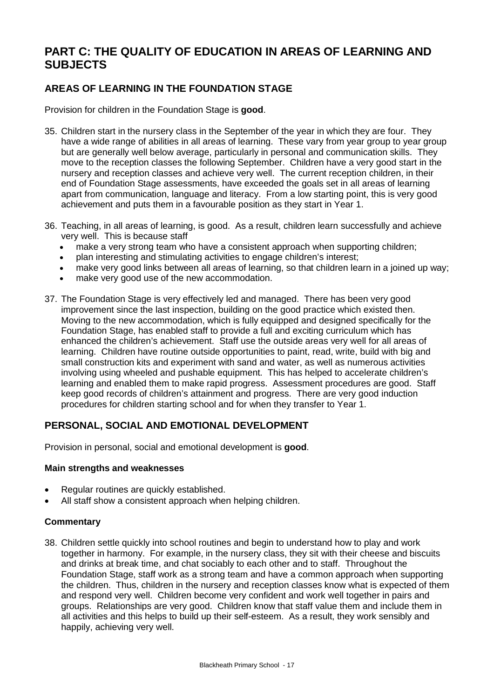# **PART C: THE QUALITY OF EDUCATION IN AREAS OF LEARNING AND SUBJECTS**

## **AREAS OF LEARNING IN THE FOUNDATION STAGE**

Provision for children in the Foundation Stage is **good**.

- 35. Children start in the nursery class in the September of the year in which they are four. They have a wide range of abilities in all areas of learning. These vary from year group to year group but are generally well below average, particularly in personal and communication skills. They move to the reception classes the following September. Children have a very good start in the nursery and reception classes and achieve very well. The current reception children, in their end of Foundation Stage assessments, have exceeded the goals set in all areas of learning apart from communication, language and literacy. From a low starting point, this is very good achievement and puts them in a favourable position as they start in Year 1.
- 36. Teaching, in all areas of learning, is good. As a result, children learn successfully and achieve very well. This is because staff
	- make a very strong team who have a consistent approach when supporting children;
	- plan interesting and stimulating activities to engage children's interest;
	- make very good links between all areas of learning, so that children learn in a joined up way;
	- make very good use of the new accommodation.
- 37. The Foundation Stage is very effectively led and managed. There has been very good improvement since the last inspection, building on the good practice which existed then. Moving to the new accommodation, which is fully equipped and designed specifically for the Foundation Stage, has enabled staff to provide a full and exciting curriculum which has enhanced the children's achievement. Staff use the outside areas very well for all areas of learning. Children have routine outside opportunities to paint, read, write, build with big and small construction kits and experiment with sand and water, as well as numerous activities involving using wheeled and pushable equipment. This has helped to accelerate children's learning and enabled them to make rapid progress. Assessment procedures are good. Staff keep good records of children's attainment and progress. There are very good induction procedures for children starting school and for when they transfer to Year 1.

## **PERSONAL, SOCIAL AND EMOTIONAL DEVELOPMENT**

Provision in personal, social and emotional development is **good**.

#### **Main strengths and weaknesses**

- Regular routines are quickly established.
- All staff show a consistent approach when helping children.

## **Commentary**

38. Children settle quickly into school routines and begin to understand how to play and work together in harmony. For example, in the nursery class, they sit with their cheese and biscuits and drinks at break time, and chat sociably to each other and to staff. Throughout the Foundation Stage, staff work as a strong team and have a common approach when supporting the children. Thus, children in the nursery and reception classes know what is expected of them and respond very well. Children become very confident and work well together in pairs and groups. Relationships are very good. Children know that staff value them and include them in all activities and this helps to build up their self-esteem. As a result, they work sensibly and happily, achieving very well.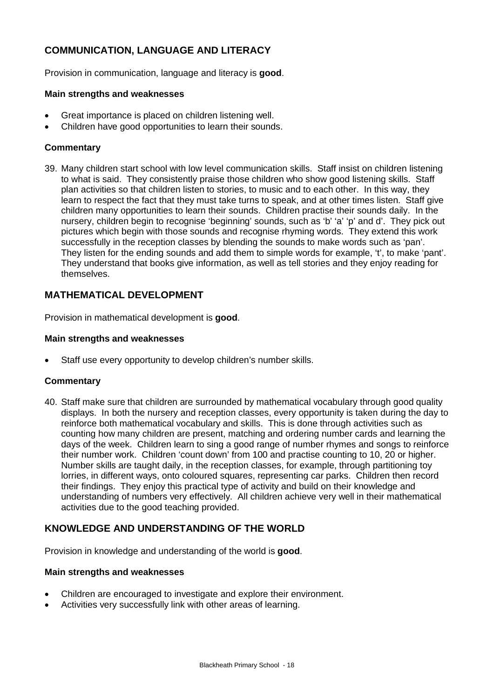## **COMMUNICATION, LANGUAGE AND LITERACY**

Provision in communication, language and literacy is **good**.

#### **Main strengths and weaknesses**

- Great importance is placed on children listening well.
- Children have good opportunities to learn their sounds.

#### **Commentary**

39. Many children start school with low level communication skills. Staff insist on children listening to what is said. They consistently praise those children who show good listening skills. Staff plan activities so that children listen to stories, to music and to each other. In this way, they learn to respect the fact that they must take turns to speak, and at other times listen. Staff give children many opportunities to learn their sounds. Children practise their sounds daily. In the nursery, children begin to recognise 'beginning' sounds, such as 'b' 'a' 'p' and d'. They pick out pictures which begin with those sounds and recognise rhyming words. They extend this work successfully in the reception classes by blending the sounds to make words such as 'pan'. They listen for the ending sounds and add them to simple words for example, 't', to make 'pant'. They understand that books give information, as well as tell stories and they enjoy reading for themselves.

## **MATHEMATICAL DEVELOPMENT**

Provision in mathematical development is **good**.

#### **Main strengths and weaknesses**

Staff use every opportunity to develop children's number skills.

#### **Commentary**

40. Staff make sure that children are surrounded by mathematical vocabulary through good quality displays. In both the nursery and reception classes, every opportunity is taken during the day to reinforce both mathematical vocabulary and skills. This is done through activities such as counting how many children are present, matching and ordering number cards and learning the days of the week. Children learn to sing a good range of number rhymes and songs to reinforce their number work. Children 'count down' from 100 and practise counting to 10, 20 or higher. Number skills are taught daily, in the reception classes, for example, through partitioning toy lorries, in different ways, onto coloured squares, representing car parks. Children then record their findings. They enjoy this practical type of activity and build on their knowledge and understanding of numbers very effectively. All children achieve very well in their mathematical activities due to the good teaching provided.

## **KNOWLEDGE AND UNDERSTANDING OF THE WORLD**

Provision in knowledge and understanding of the world is **good**.

#### **Main strengths and weaknesses**

- Children are encouraged to investigate and explore their environment.
- Activities very successfully link with other areas of learning.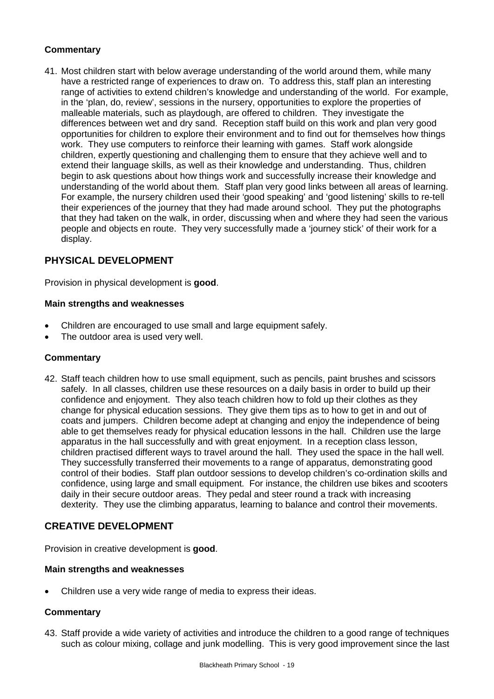## **Commentary**

41. Most children start with below average understanding of the world around them, while many have a restricted range of experiences to draw on. To address this, staff plan an interesting range of activities to extend children's knowledge and understanding of the world. For example, in the 'plan, do, review', sessions in the nursery, opportunities to explore the properties of malleable materials, such as playdough, are offered to children. They investigate the differences between wet and dry sand. Reception staff build on this work and plan very good opportunities for children to explore their environment and to find out for themselves how things work. They use computers to reinforce their learning with games. Staff work alongside children, expertly questioning and challenging them to ensure that they achieve well and to extend their language skills, as well as their knowledge and understanding. Thus, children begin to ask questions about how things work and successfully increase their knowledge and understanding of the world about them. Staff plan very good links between all areas of learning. For example, the nursery children used their 'good speaking' and 'good listening' skills to re-tell their experiences of the journey that they had made around school. They put the photographs that they had taken on the walk, in order, discussing when and where they had seen the various people and objects en route. They very successfully made a 'journey stick' of their work for a display.

## **PHYSICAL DEVELOPMENT**

Provision in physical development is **good**.

#### **Main strengths and weaknesses**

- Children are encouraged to use small and large equipment safely.
- The outdoor area is used very well.

## **Commentary**

42. Staff teach children how to use small equipment, such as pencils, paint brushes and scissors safely. In all classes, children use these resources on a daily basis in order to build up their confidence and enjoyment. They also teach children how to fold up their clothes as they change for physical education sessions. They give them tips as to how to get in and out of coats and jumpers. Children become adept at changing and enjoy the independence of being able to get themselves ready for physical education lessons in the hall. Children use the large apparatus in the hall successfully and with great enjoyment. In a reception class lesson, children practised different ways to travel around the hall. They used the space in the hall well. They successfully transferred their movements to a range of apparatus, demonstrating good control of their bodies. Staff plan outdoor sessions to develop children's co-ordination skills and confidence, using large and small equipment. For instance, the children use bikes and scooters daily in their secure outdoor areas. They pedal and steer round a track with increasing dexterity. They use the climbing apparatus, learning to balance and control their movements.

## **CREATIVE DEVELOPMENT**

Provision in creative development is **good**.

#### **Main strengths and weaknesses**

Children use a very wide range of media to express their ideas.

## **Commentary**

43. Staff provide a wide variety of activities and introduce the children to a good range of techniques such as colour mixing, collage and junk modelling. This is very good improvement since the last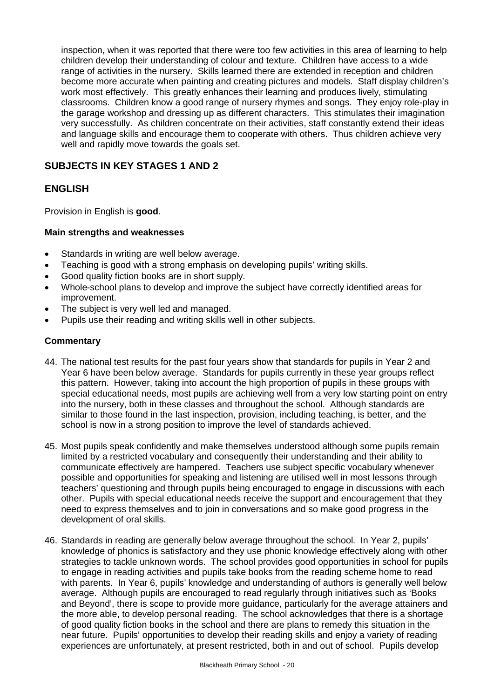inspection, when it was reported that there were too few activities in this area of learning to help children develop their understanding of colour and texture. Children have access to a wide range of activities in the nursery. Skills learned there are extended in reception and children become more accurate when painting and creating pictures and models. Staff display children's work most effectively. This greatly enhances their learning and produces lively, stimulating classrooms.Children know a good range of nursery rhymes and songs. They enjoy role-play in the garage workshop and dressing up as different characters. This stimulates their imagination very successfully. As children concentrate on their activities, staff constantly extend their ideas and language skills and encourage them to cooperate with others. Thus children achieve very well and rapidly move towards the goals set.

## **SUBJECTS IN KEY STAGES 1 AND 2**

## **ENGLISH**

Provision in English is **good**.

## **Main strengths and weaknesses**

- Standards in writing are well below average.
- Teaching is good with a strong emphasis on developing pupils' writing skills.
- Good quality fiction books are in short supply.
- Whole-school plans to develop and improve the subject have correctly identified areas for improvement.
- The subject is very well led and managed.
- Pupils use their reading and writing skills well in other subjects.

- 44. The national test results for the past four years show that standards for pupils in Year 2 and Year 6 have been below average. Standards for pupils currently in these year groups reflect this pattern. However, taking into account the high proportion of pupils in these groups with special educational needs, most pupils are achieving well from a very low starting point on entry into the nursery, both in these classes and throughout the school. Although standards are similar to those found in the last inspection, provision, including teaching, is better, and the school is now in a strong position to improve the level of standards achieved.
- 45. Most pupils speak confidently and make themselves understood although some pupils remain limited by a restricted vocabulary and consequently their understanding and their ability to communicate effectively are hampered. Teachers use subject specific vocabulary whenever possible and opportunities for speaking and listening are utilised well in most lessons through teachers' questioning and through pupils being encouraged to engage in discussions with each other. Pupils with special educational needs receive the support and encouragement that they need to express themselves and to join in conversations and so make good progress in the development of oral skills.
- 46. Standards in reading are generally below average throughout the school. In Year 2, pupils' knowledge of phonics is satisfactory and they use phonic knowledge effectively along with other strategies to tackle unknown words. The school provides good opportunities in school for pupils to engage in reading activities and pupils take books from the reading scheme home to read with parents. In Year 6, pupils' knowledge and understanding of authors is generally well below average. Although pupils are encouraged to read regularly through initiatives such as 'Books and Beyond', there is scope to provide more guidance, particularly for the average attainers and the more able, to develop personal reading. The school acknowledges that there is a shortage of good quality fiction books in the school and there are plans to remedy this situation in the near future. Pupils' opportunities to develop their reading skills and enjoy a variety of reading experiences are unfortunately, at present restricted, both in and out of school. Pupils develop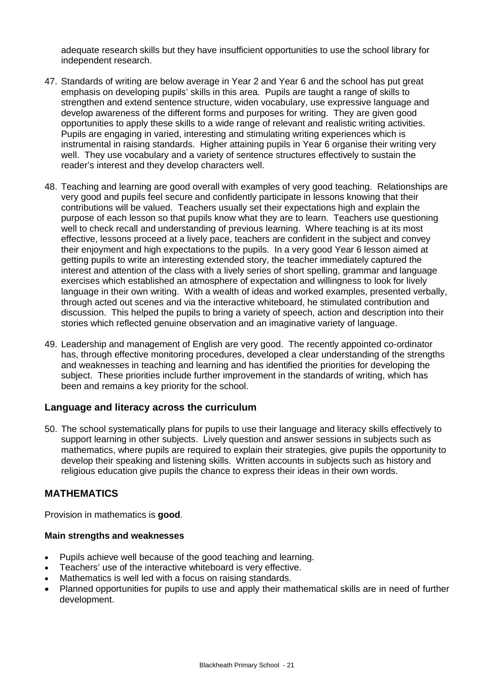adequate research skills but they have insufficient opportunities to use the school library for independent research.

- 47. Standards of writing are below average in Year 2 and Year 6 and the school has put great emphasis on developing pupils' skills in this area. Pupils are taught a range of skills to strengthen and extend sentence structure, widen vocabulary, use expressive language and develop awareness of the different forms and purposes for writing. They are given good opportunities to apply these skills to a wide range of relevant and realistic writing activities. Pupils are engaging in varied, interesting and stimulating writing experiences which is instrumental in raising standards. Higher attaining pupils in Year 6 organise their writing very well. They use vocabulary and a variety of sentence structures effectively to sustain the reader's interest and they develop characters well.
- 48. Teaching and learning are good overall with examples of very good teaching. Relationships are very good and pupils feel secure and confidently participate in lessons knowing that their contributions will be valued. Teachers usually set their expectations high and explain the purpose of each lesson so that pupils know what they are to learn. Teachers use questioning well to check recall and understanding of previous learning. Where teaching is at its most effective, lessons proceed at a lively pace, teachers are confident in the subject and convey their enjoyment and high expectations to the pupils. In a very good Year 6 lesson aimed at getting pupils to write an interesting extended story, the teacher immediately captured the interest and attention of the class with a lively series of short spelling, grammar and language exercises which established an atmosphere of expectation and willingness to look for lively language in their own writing. With a wealth of ideas and worked examples, presented verbally, through acted out scenes and via the interactive whiteboard, he stimulated contribution and discussion. This helped the pupils to bring a variety of speech, action and description into their stories which reflected genuine observation and an imaginative variety of language.
- 49. Leadership and management of English are very good. The recently appointed co-ordinator has, through effective monitoring procedures, developed a clear understanding of the strengths and weaknesses in teaching and learning and has identified the priorities for developing the subject. These priorities include further improvement in the standards of writing, which has been and remains a key priority for the school.

## **Language and literacy across the curriculum**

50. The school systematically plans for pupils to use their language and literacy skills effectively to support learning in other subjects. Lively question and answer sessions in subjects such as mathematics, where pupils are required to explain their strategies, give pupils the opportunity to develop their speaking and listening skills. Written accounts in subjects such as history and religious education give pupils the chance to express their ideas in their own words.

## **MATHEMATICS**

Provision in mathematics is **good**.

#### **Main strengths and weaknesses**

- Pupils achieve well because of the good teaching and learning.
- Teachers' use of the interactive whiteboard is very effective.
- Mathematics is well led with a focus on raising standards.
- Planned opportunities for pupils to use and apply their mathematical skills are in need of further development.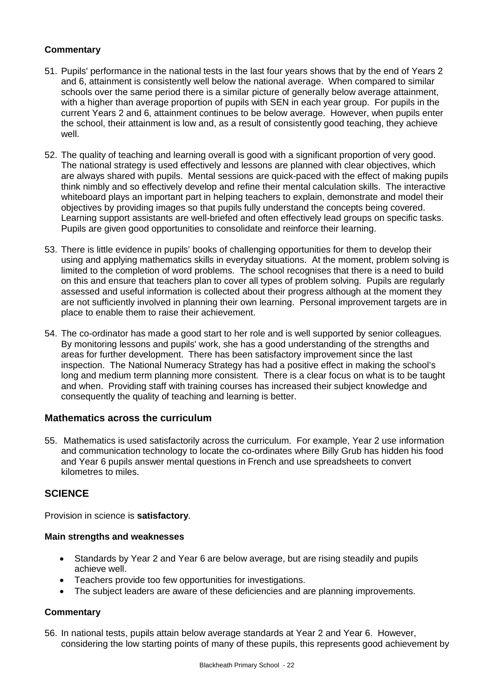## **Commentary**

- 51. Pupils' performance in the national tests in the last four years shows that by the end of Years 2 and 6, attainment is consistently well below the national average. When compared to similar schools over the same period there is a similar picture of generally below average attainment, with a higher than average proportion of pupils with SEN in each year group. For pupils in the current Years 2 and 6, attainment continues to be below average. However, when pupils enter the school, their attainment is low and, as a result of consistently good teaching, they achieve well.
- 52. The quality of teaching and learning overall is good with a significant proportion of very good. The national strategy is used effectively and lessons are planned with clear objectives, which are always shared with pupils. Mental sessions are quick-paced with the effect of making pupils think nimbly and so effectively develop and refine their mental calculation skills. The interactive whiteboard plays an important part in helping teachers to explain, demonstrate and model their objectives by providing images so that pupils fully understand the concepts being covered. Learning support assistants are well-briefed and often effectively lead groups on specific tasks. Pupils are given good opportunities to consolidate and reinforce their learning.
- 53. There is little evidence in pupils' books of challenging opportunities for them to develop their using and applying mathematics skills in everyday situations. At the moment, problem solving is limited to the completion of word problems. The school recognises that there is a need to build on this and ensure that teachers plan to cover all types of problem solving. Pupils are regularly assessed and useful information is collected about their progress although at the moment they are not sufficiently involved in planning their own learning. Personal improvement targets are in place to enable them to raise their achievement.
- 54. The co-ordinator has made a good start to her role and is well supported by senior colleagues. By monitoring lessons and pupils' work, she has a good understanding of the strengths and areas for further development. There has been satisfactory improvement since the last inspection. The National Numeracy Strategy has had a positive effect in making the school's long and medium term planning more consistent. There is a clear focus on what is to be taught and when. Providing staff with training courses has increased their subject knowledge and consequently the quality of teaching and learning is better.

## **Mathematics across the curriculum**

55. Mathematics is used satisfactorily across the curriculum. For example, Year 2 use information and communication technology to locate the co-ordinates where Billy Grub has hidden his food and Year 6 pupils answer mental questions in French and use spreadsheets to convert kilometres to miles.

## **SCIENCE**

Provision in science is **satisfactory**.

## **Main strengths and weaknesses**

- Standards by Year 2 and Year 6 are below average, but are rising steadily and pupils achieve well.
- Teachers provide too few opportunities for investigations.
- The subject leaders are aware of these deficiencies and are planning improvements.

## **Commentary**

56. In national tests, pupils attain below average standards at Year 2 and Year 6. However, considering the low starting points of many of these pupils, this represents good achievement by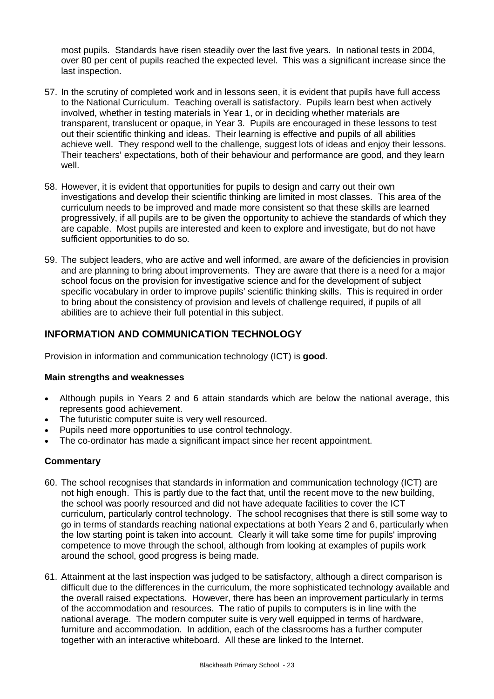most pupils. Standards have risen steadily over the last five years. In national tests in 2004, over 80 per cent of pupils reached the expected level. This was a significant increase since the last inspection.

- 57. In the scrutiny of completed work and in lessons seen, it is evident that pupils have full access to the National Curriculum. Teaching overall is satisfactory. Pupils learn best when actively involved, whether in testing materials in Year 1, or in deciding whether materials are transparent, translucent or opaque, in Year 3. Pupils are encouraged in these lessons to test out their scientific thinking and ideas. Their learning is effective and pupils of all abilities achieve well. They respond well to the challenge, suggest lots of ideas and enjoy their lessons. Their teachers' expectations, both of their behaviour and performance are good, and they learn well.
- 58. However, it is evident that opportunities for pupils to design and carry out their own investigations and develop their scientific thinking are limited in most classes. This area of the curriculum needs to be improved and made more consistent so that these skills are learned progressively, if all pupils are to be given the opportunity to achieve the standards of which they are capable. Most pupils are interested and keen to explore and investigate, but do not have sufficient opportunities to do so.
- 59. The subject leaders, who are active and well informed, are aware of the deficiencies in provision and are planning to bring about improvements. They are aware that there is a need for a major school focus on the provision for investigative science and for the development of subject specific vocabulary in order to improve pupils' scientific thinking skills. This is required in order to bring about the consistency of provision and levels of challenge required, if pupils of all abilities are to achieve their full potential in this subject.

## **INFORMATION AND COMMUNICATION TECHNOLOGY**

Provision in information and communication technology (ICT) is **good**.

## **Main strengths and weaknesses**

- Although pupils in Years 2 and 6 attain standards which are below the national average, this represents good achievement.
- The futuristic computer suite is very well resourced.
- Pupils need more opportunities to use control technology.
- The co-ordinator has made a significant impact since her recent appointment.

- 60. The school recognises that standards in information and communication technology (ICT) are not high enough. This is partly due to the fact that, until the recent move to the new building, the school was poorly resourced and did not have adequate facilities to cover the ICT curriculum, particularly control technology. The school recognises that there is still some way to go in terms of standards reaching national expectations at both Years 2 and 6, particularly when the low starting point is taken into account. Clearly it will take some time for pupils' improving competence to move through the school, although from looking at examples of pupils work around the school, good progress is being made.
- 61. Attainment at the last inspection was judged to be satisfactory, although a direct comparison is difficult due to the differences in the curriculum, the more sophisticated technology available and the overall raised expectations. However, there has been an improvement particularly in terms of the accommodation and resources. The ratio of pupils to computers is in line with the national average. The modern computer suite is very well equipped in terms of hardware, furniture and accommodation. In addition, each of the classrooms has a further computer together with an interactive whiteboard. All these are linked to the Internet.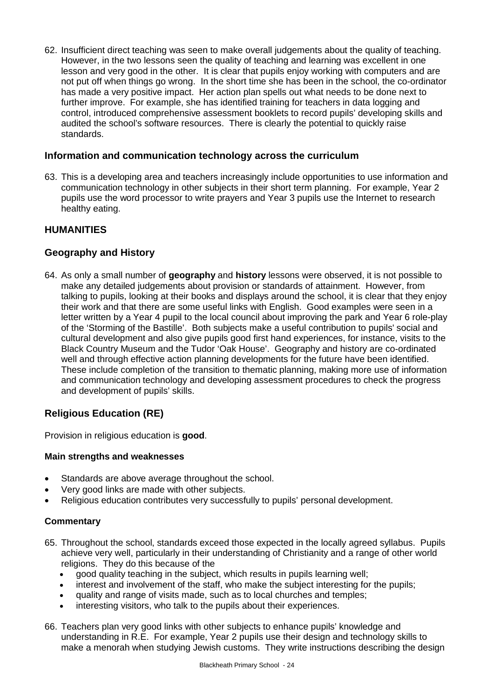62. Insufficient direct teaching was seen to make overall judgements about the quality of teaching. However, in the two lessons seen the quality of teaching and learning was excellent in one lesson and very good in the other. It is clear that pupils enjoy working with computers and are not put off when things go wrong. In the short time she has been in the school, the co-ordinator has made a very positive impact. Her action plan spells out what needs to be done next to further improve. For example, she has identified training for teachers in data logging and control, introduced comprehensive assessment booklets to record pupils' developing skills and audited the school's software resources. There is clearly the potential to quickly raise standards.

## **Information and communication technology across the curriculum**

63. This is a developing area and teachers increasingly include opportunities to use information and communication technology in other subjects in their short term planning. For example, Year 2 pupils use the word processor to write prayers and Year 3 pupils use the Internet to research healthy eating.

## **HUMANITIES**

## **Geography and History**

64. As only a small number of **geography** and **history** lessons were observed, it is not possible to make any detailed judgements about provision or standards of attainment. However, from talking to pupils, looking at their books and displays around the school, it is clear that they enjoy their work and that there are some useful links with English. Good examples were seen in a letter written by a Year 4 pupil to the local council about improving the park and Year 6 role-play of the 'Storming of the Bastille'. Both subjects make a useful contribution to pupils' social and cultural development and also give pupils good first hand experiences, for instance, visits to the Black Country Museum and the Tudor 'Oak House'. Geography and history are co-ordinated well and through effective action planning developments for the future have been identified. These include completion of the transition to thematic planning, making more use of information and communication technology and developing assessment procedures to check the progress and development of pupils' skills.

## **Religious Education (RE)**

Provision in religious education is **good**.

## **Main strengths and weaknesses**

- Standards are above average throughout the school.
- Very good links are made with other subjects.
- Religious education contributes very successfully to pupils' personal development.

- 65. Throughout the school, standards exceed those expected in the locally agreed syllabus. Pupils achieve very well, particularly in their understanding of Christianity and a range of other world religions. They do this because of the
	- good quality teaching in the subject, which results in pupils learning well;
	- interest and involvement of the staff, who make the subject interesting for the pupils;
	- quality and range of visits made, such as to local churches and temples;
	- interesting visitors, who talk to the pupils about their experiences.
- 66. Teachers plan very good links with other subjects to enhance pupils' knowledge and understanding in R.E. For example, Year 2 pupils use their design and technology skills to make a menorah when studying Jewish customs. They write instructions describing the design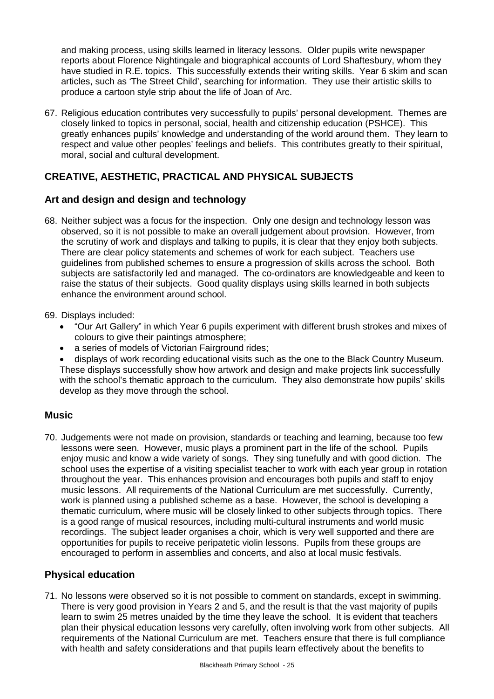and making process, using skills learned in literacy lessons. Older pupils write newspaper reports about Florence Nightingale and biographical accounts of Lord Shaftesbury, whom they have studied in R.E. topics. This successfully extends their writing skills. Year 6 skim and scan articles, such as 'The Street Child', searching for information. They use their artistic skills to produce a cartoon style strip about the life of Joan of Arc.

67. Religious education contributes very successfully to pupils' personal development. Themes are closely linked to topics in personal, social, health and citizenship education (PSHCE). This greatly enhances pupils' knowledge and understanding of the world around them. They learn to respect and value other peoples' feelings and beliefs. This contributes greatly to their spiritual, moral, social and cultural development.

## **CREATIVE, AESTHETIC, PRACTICAL AND PHYSICAL SUBJECTS**

## **Art and design and design and technology**

- 68. Neither subject was a focus for the inspection. Only one design and technology lesson was observed, so it is not possible to make an overall judgement about provision. However, from the scrutiny of work and displays and talking to pupils, it is clear that they enjoy both subjects. There are clear policy statements and schemes of work for each subject. Teachers use guidelines from published schemes to ensure a progression of skills across the school. Both subjects are satisfactorily led and managed. The co-ordinators are knowledgeable and keen to raise the status of their subjects. Good quality displays using skills learned in both subjects enhance the environment around school.
- 69. Displays included:
	- "Our Art Gallery" in which Year 6 pupils experiment with different brush strokes and mixes of colours to give their paintings atmosphere;
	- a series of models of Victorian Fairground rides;
	- displays of work recording educational visits such as the one to the Black Country Museum. These displays successfully show how artwork and design and make projects link successfully with the school's thematic approach to the curriculum. They also demonstrate how pupils' skills develop as they move through the school.

## **Music**

70. Judgements were not made on provision, standards or teaching and learning, because too few lessons were seen. However, music plays a prominent part in the life of the school. Pupils enjoy music and know a wide variety of songs. They sing tunefully and with good diction. The school uses the expertise of a visiting specialist teacher to work with each year group in rotation throughout the year. This enhances provision and encourages both pupils and staff to enjoy music lessons. All requirements of the National Curriculum are met successfully. Currently, work is planned using a published scheme as a base. However, the school is developing a thematic curriculum, where music will be closely linked to other subjects through topics. There is a good range of musical resources, including multi-cultural instruments and world music recordings. The subject leader organises a choir, which is very well supported and there are opportunities for pupils to receive peripatetic violin lessons. Pupils from these groups are encouraged to perform in assemblies and concerts, and also at local music festivals.

## **Physical education**

71. No lessons were observed so it is not possible to comment on standards, except in swimming. There is very good provision in Years 2 and 5, and the result is that the vast majority of pupils learn to swim 25 metres unaided by the time they leave the school. It is evident that teachers plan their physical education lessons very carefully, often involving work from other subjects. All requirements of the National Curriculum are met. Teachers ensure that there is full compliance with health and safety considerations and that pupils learn effectively about the benefits to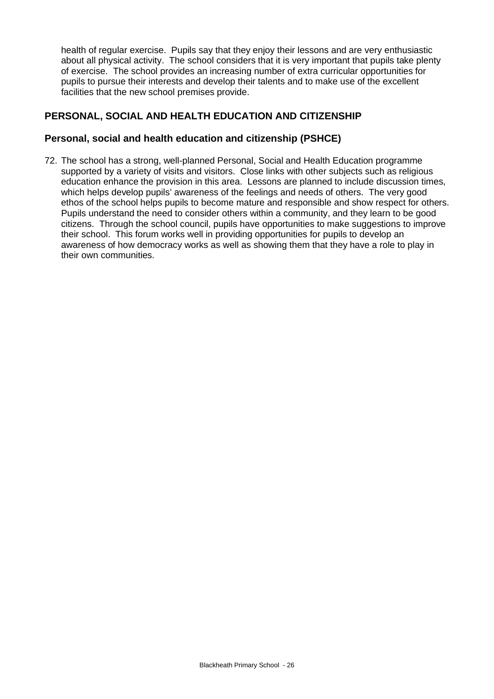health of regular exercise. Pupils say that they enjoy their lessons and are very enthusiastic about all physical activity. The school considers that it is very important that pupils take plenty of exercise. The school provides an increasing number of extra curricular opportunities for pupils to pursue their interests and develop their talents and to make use of the excellent facilities that the new school premises provide.

## **PERSONAL, SOCIAL AND HEALTH EDUCATION AND CITIZENSHIP**

## **Personal, social and health education and citizenship (PSHCE)**

72. The school has a strong, well-planned Personal, Social and Health Education programme supported by a variety of visits and visitors. Close links with other subjects such as religious education enhance the provision in this area. Lessons are planned to include discussion times, which helps develop pupils' awareness of the feelings and needs of others. The very good ethos of the school helps pupils to become mature and responsible and show respect for others. Pupils understand the need to consider others within a community, and they learn to be good citizens. Through the school council, pupils have opportunities to make suggestions to improve their school. This forum works well in providing opportunities for pupils to develop an awareness of how democracy works as well as showing them that they have a role to play in their own communities.